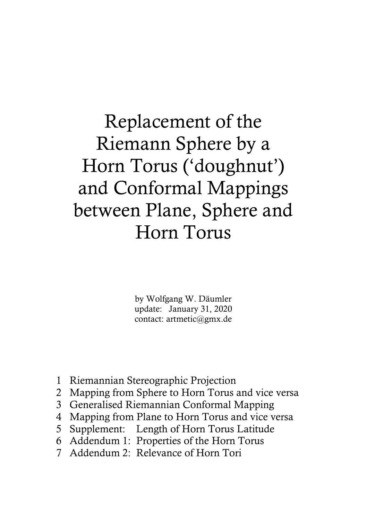Replacement of the Riemann Sphere by a Horn Torus ('doughnut') and Conformal Mappings between Plane, Sphere and Horn Torus

> by Wolfgang W. Däumler update: January 31, 2020 contact: artmetic@gmx.de

- 1 Riemannian Stereographic Projection
- 2 Mapping from Sphere to Horn Torus and vice versa
- 3 Generalised Riemannian Conformal Mapping
- 4 Mapping from Plane to Horn Torus and vice versa
- 5 Supplement: Length of Horn Torus Latitude
- 6 Addendum 1: Properties of the Horn Torus
- 7 Addendum 2: Relevance of Horn Tori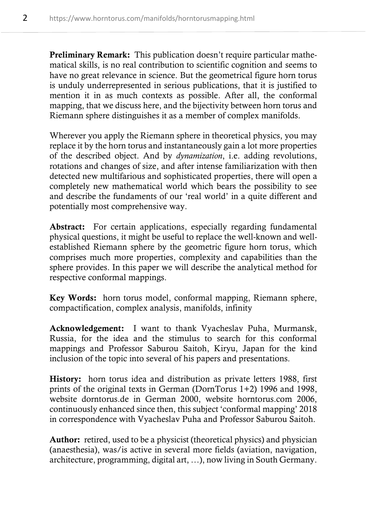Preliminary Remark: This publication doesn't require particular mathematical skills, is no real contribution to scientific cognition and seems to have no great relevance in science. But the geometrical figure horn torus is unduly underrepresented in serious publications, that it is justified to mention it in as much contexts as possible. After all, the conformal mapping, that we discuss here, and the bijectivity between horn torus and Riemann sphere distinguishes it as a member of complex manifolds.

Wherever you apply the Riemann sphere in theoretical physics, you may replace it by the horn torus and instantaneously gain a lot more properties of the described object. And by *dynamization*, i.e. adding revolutions, rotations and changes of size, and after intense familiarization with then detected new multifarious and sophisticated properties, there will open a completely new mathematical world which bears the possibility to see and describe the fundaments of our 'real world' in a quite different and potentially most comprehensive way.

Abstract: For certain applications, especially regarding fundamental physical questions, it might be useful to replace the well-known and wellestablished Riemann sphere by the geometric figure horn torus, which comprises much more properties, complexity and capabilities than the sphere provides. In this paper we will describe the analytical method for respective conformal mappings.

Key Words: horn torus model, conformal mapping, Riemann sphere, compactification, complex analysis, manifolds, infinity

Acknowledgement: I want to thank Vyacheslav Puha, Murmansk, Russia, for the idea and the stimulus to search for this conformal mappings and Professor Saburou Saitoh, Kiryu, Japan for the kind inclusion of the topic into several of his papers and presentations.

History: horn torus idea and distribution as private letters 1988, first prints of the original texts in German (DornTorus 1+2) 1996 and 1998, website dorntorus.de in German 2000, website horntorus.com 2006, continuously enhanced since then, this subject 'conformal mapping' 2018 in correspondence with Vyacheslav Puha and Professor Saburou Saitoh.

Author: retired, used to be a physicist (theoretical physics) and physician (anaesthesia), was/is active in several more fields (aviation, navigation, architecture, programming, digital art, …), now living in South Germany.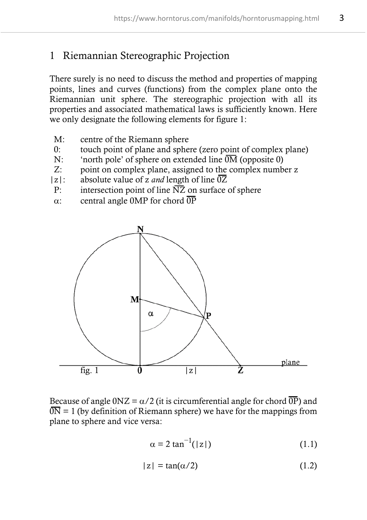## 1 Riemannian Stereographic Projection

There surely is no need to discuss the method and properties of mapping points, lines and curves (functions) from the complex plane onto the Riemannian unit sphere. The stereographic projection with all its properties and associated mathematical laws is sufficiently known. Here we only designate the following elements for figure 1:

- M: centre of the Riemann sphere
- 0: touch point of plane and sphere (zero point of complex plane)
- N: 'north pole' of sphere on extended line  $\overline{OM}$  (opposite 0)
- Z: point on complex plane, assigned to the complex number z
- $|z|$ : absolute value of z *and* length of line  $\overline{0Z}$
- P: intersection point of line  $\overline{NZ}$  on surface of sphere
- $\alpha$ : central angle 0MP for chord  $\overline{OP}$



Because of angle  $0NZ = \alpha/2$  (it is circumferential angle for chord  $\overline{OP}$ ) and  $\overline{ON} = 1$  (by definition of Riemann sphere) we have for the mappings from plane to sphere and vice versa:

$$
\alpha = 2 \tan^{-1}(|z|) \tag{1.1}
$$

$$
|z| = \tan(\alpha/2) \tag{1.2}
$$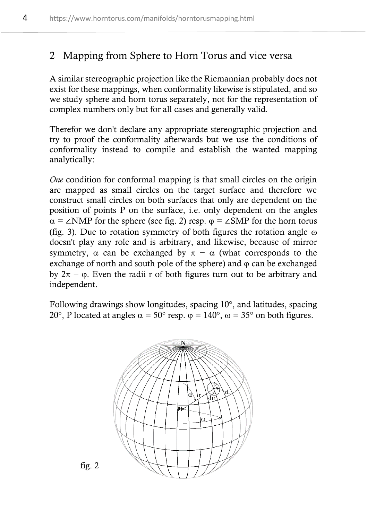### 2 Mapping from Sphere to Horn Torus and vice versa

A similar stereographic projection like the Riemannian probably does not exist for these mappings, when conformality likewise is stipulated, and so we study sphere and horn torus separately, not for the representation of complex numbers only but for all cases and generally valid.

Therefor we don't declare any appropriate stereographic projection and try to proof the conformality afterwards but we use the conditions of conformality instead to compile and establish the wanted mapping analytically:

*One* condition for conformal mapping is that small circles on the origin are mapped as small circles on the target surface and therefore we construct small circles on both surfaces that only are dependent on the position of points P on the surface, i.e. only dependent on the angles  $\alpha = \angle NMP$  for the sphere (see fig. 2) resp.  $\varphi = \angle SMP$  for the horn torus (fig. 3). Due to rotation symmetry of both figures the rotation angle  $\omega$ doesn't play any role and is arbitrary, and likewise, because of mirror symmetry,  $\alpha$  can be exchanged by  $\pi - \alpha$  (what corresponds to the exchange of north and south pole of the sphere) and  $\varphi$  can be exchanged by  $2\pi - \varphi$ . Even the radii r of both figures turn out to be arbitrary and independent.

Following drawings show longitudes, spacing 10°, and latitudes, spacing 20°, P located at angles  $\alpha = 50^{\circ}$  resp.  $\varphi = 140^{\circ}$ ,  $\varphi = 35^{\circ}$  on both figures.



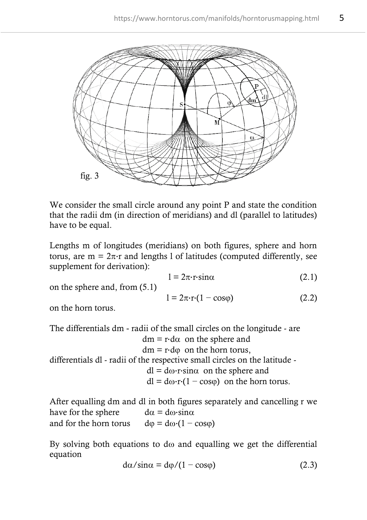

We consider the small circle around any point P and state the condition that the radii dm (in direction of meridians) and dl (parallel to latitudes) have to be equal.

Lengths m of longitudes (meridians) on both figures, sphere and horn torus, are  $m = 2\pi$ ·r and lengths 1 of latitudes (computed differently, see supplement for derivation):

$$
1 = 2\pi \cdot r \cdot \sin \alpha \tag{2.1}
$$

on the sphere and, from (5.1)

$$
1 = 2\pi \cdot \mathbf{r} \cdot (1 - \cos \varphi) \tag{2.2}
$$

on the horn torus.

The differentials dm - radii of the small circles on the longitude - are  $dm = r \cdot d\alpha$  on the sphere and  $dm = r \cdot d\omega$  on the horn torus. differentials dl - radii of the respective small circles on the latitude  $dl = d\omega \cdot r \cdot \sin \alpha$  on the sphere and  $dl = d\omega \cdot r \cdot (1 - \cos\phi)$  on the horn torus.

After equalling dm and dl in both figures separately and cancelling r we have for the sphere  $d\alpha = d\omega \cdot \sin \alpha$ and for the horn torus  $d\varphi = d\omega \cdot (1 - \cos\varphi)$ 

By solving both equations to d $\omega$  and equalling we get the differential equation

$$
d\alpha/\sin\alpha = d\varphi/(1 - \cos\varphi)
$$
 (2.3)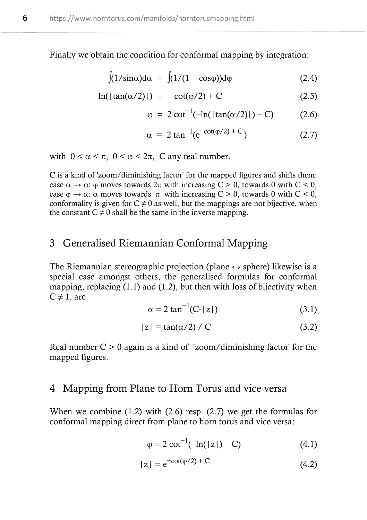Finally we obtain the condition for conformal mapping by integration:

$$
\int (1/\sin \alpha) d\alpha = \int (1/(1 - \cos \varphi)) d\varphi
$$
 (2.4)

$$
\ln(|\tan(\alpha/2)|) = -\cot(\varphi/2) + C \tag{2.5}
$$

$$
\varphi = 2 \cot^{-1}(-\ln(|\tan(\alpha/2)|) - C) \tag{2.6}
$$

$$
\alpha = 2 \tan^{-1}(e^{-\cot(\varphi/2) + C})
$$
 (2.7)

with  $0 < \alpha < \pi$ ,  $0 < \varphi < 2\pi$ , C any real number.

C is a kind of 'zoom/diminishing factor' for the mapped figures and shifts them: case  $\alpha \rightarrow \varphi$ :  $\varphi$  moves towards  $2\pi$  with increasing C > 0, towards 0 with C < 0, case  $\varphi \to \alpha$ :  $\alpha$  moves towards  $\pi$  with increasing C > 0, towards 0 with C < 0, conformality is given for  $C \neq 0$  as well, but the mappings are not bijective, when the constant  $C \neq 0$  shall be the same in the inverse mapping.

### 3 Generalised Riemannian Conformal Mapping

The Riemannian stereographic projection (plane  $\leftrightarrow$  sphere) likewise is a special case amongst others, the generalised formulas for conformal mapping, replacing  $(1.1)$  and  $(1.2)$ , but then with loss of bijectivity when  $C \neq 1$ , are

$$
\alpha = 2 \tan^{-1}(C \cdot |z|) \tag{3.1}
$$

$$
|z| = \tan(\alpha/2) / C \tag{3.2}
$$

Real number  $C > 0$  again is a kind of 'zoom/diminishing factor' for the mapped figures.

#### 4 Mapping from Plane to Horn Torus and vice versa

When we combine (1.2) with (2.6) resp. (2.7) we get the formulas for conformal mapping direct from plane to horn torus and vice versa:

$$
\varphi = 2 \cot^{-1}(-\ln(|z|) - C) \tag{4.1}
$$

$$
|z| = e^{-cot(\varphi/2) + C}
$$
 (4.2)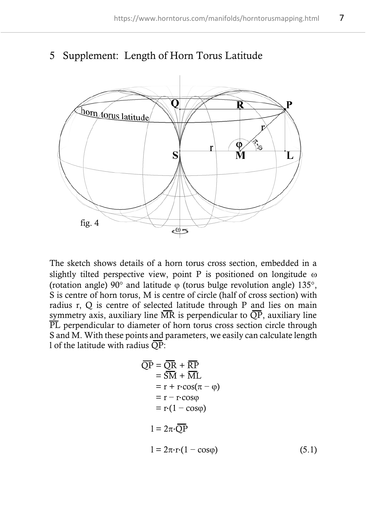

### 5 Supplement: Length of Horn Torus Latitude

The sketch shows details of a horn torus cross section, embedded in a slightly tilted perspective view, point P is positioned on longitude  $\omega$ (rotation angle)  $90^{\circ}$  and latitude  $\omega$  (torus bulge revolution angle) 135 $^{\circ}$ . S is centre of horn torus, M is centre of circle (half of cross section) with radius r, Q is centre of selected latitude through P and lies on main symmetry axis, auxiliary line  $\overline{MR}$  is perpendicular to  $\overline{QP}$ , auxiliary line PL perpendicular to diameter of horn torus cross section circle through S and M. With these points and parameters, we easily can calculate length 1 of the latitude with radius  $\overline{OP}$ :

$$
\overline{QP} = \overline{QR} + \overline{RP}
$$
  
= SM + \overline{ML}  
= r + r \cos(\pi - \varphi)  
= r - r \cos\varphi  
= r \cdot (1 - \cos\varphi)  

$$
1 = 2\pi \cdot \overline{QP}
$$
  

$$
1 = 2\pi \cdot r \cdot (1 - \cos\varphi)
$$
 (5.1)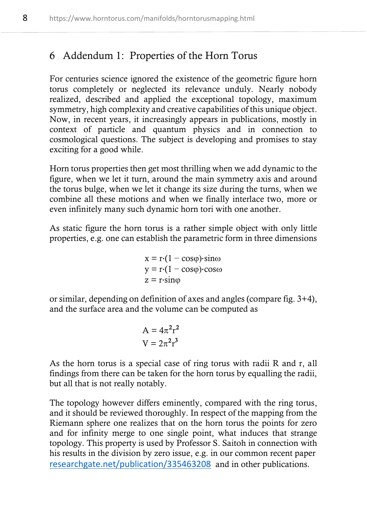## 6 Addendum 1: Properties of the Horn Torus

For centuries science ignored the existence of the geometric figure horn torus completely or neglected its relevance unduly. Nearly nobody realized, described and applied the exceptional topology, maximum symmetry, high complexity and creative capabilities of this unique object. Now, in recent years, it increasingly appears in publications, mostly in context of particle and quantum physics and in connection to cosmological questions. The subject is developing and promises to stay exciting for a good while.

Horn torus properties then get most thrilling when we add dynamic to the figure, when we let it turn, around the main symmetry axis and around the torus bulge, when we let it change its size during the turns, when we combine all these motions and when we finally interlace two, more or even infinitely many such dynamic horn tori with one another.

As static figure the horn torus is a rather simple object with only little properties, e.g. one can establish the parametric form in three dimensions

$$
x = r \cdot (1 - \cos\varphi) \cdot \sin\omega
$$
  
y = r \cdot (1 - \cos\varphi) \cdot \cos\omega  
z = r \cdot \sin\varphi

or similar, depending on definition of axes and angles (compare fig. 3+4), and the surface area and the volume can be computed as

$$
A = 4\pi^2 r^2
$$

$$
V = 2\pi^2 r^3
$$

As the horn torus is a special case of ring torus with radii R and r, all findings from there can be taken for the horn torus by equalling the radii, but all that is not really notably.

The topology however differs eminently, compared with the ring torus, and it should be reviewed thoroughly. In respect of the mapping from the Riemann sphere one realizes that on the horn torus the points for zero and for infinity merge to one single point, what induces that strange topology. This property is used by Professor S. Saitoh in connection with his results in the division by zero issue, e.g. in our common recent paper [researchgate.net/publication/335463208](https://www.researchgate.net/publication/335463208) and in other publications.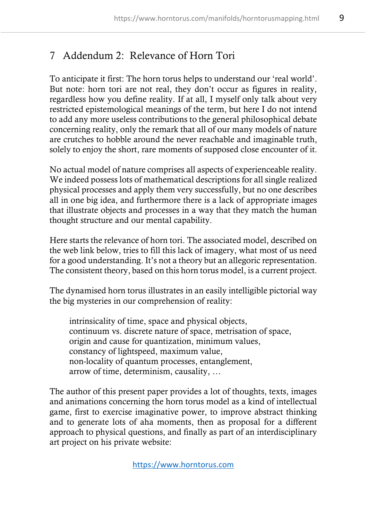# 7 Addendum 2: Relevance of Horn Tori

To anticipate it first: The horn torus helps to understand our 'real world'. But note: horn tori are not real, they don't occur as figures in reality, regardless how you define reality. If at all, I myself only talk about very restricted epistemological meanings of the term, but here I do not intend to add any more useless contributions to the general philosophical debate concerning reality, only the remark that all of our many models of nature are crutches to hobble around the never reachable and imaginable truth, solely to enjoy the short, rare moments of supposed close encounter of it.

No actual model of nature comprises all aspects of experienceable reality. We indeed possess lots of mathematical descriptions for all single realized physical processes and apply them very successfully, but no one describes all in one big idea, and furthermore there is a lack of appropriate images that illustrate objects and processes in a way that they match the human thought structure and our mental capability.

Here starts the relevance of horn tori. The associated model, described on the web link below, tries to fill this lack of imagery, what most of us need for a good understanding. It's not a theory but an allegoric representation. The consistent theory, based on this horn torus model, is a current project.

The dynamised horn torus illustrates in an easily intelligible pictorial way the big mysteries in our comprehension of reality:

intrinsicality of time, space and physical objects, continuum vs. discrete nature of space, metrisation of space, origin and cause for quantization, minimum values, constancy of lightspeed, maximum value, non-locality of quantum processes, entanglement, arrow of time, determinism, causality, …

The author of this present paper provides a lot of thoughts, texts, images and animations concerning the horn torus model as a kind of intellectual game, first to exercise imaginative power, to improve abstract thinking and to generate lots of aha moments, then as proposal for a different approach to physical questions, and finally as part of an interdisciplinary art project on his private website: